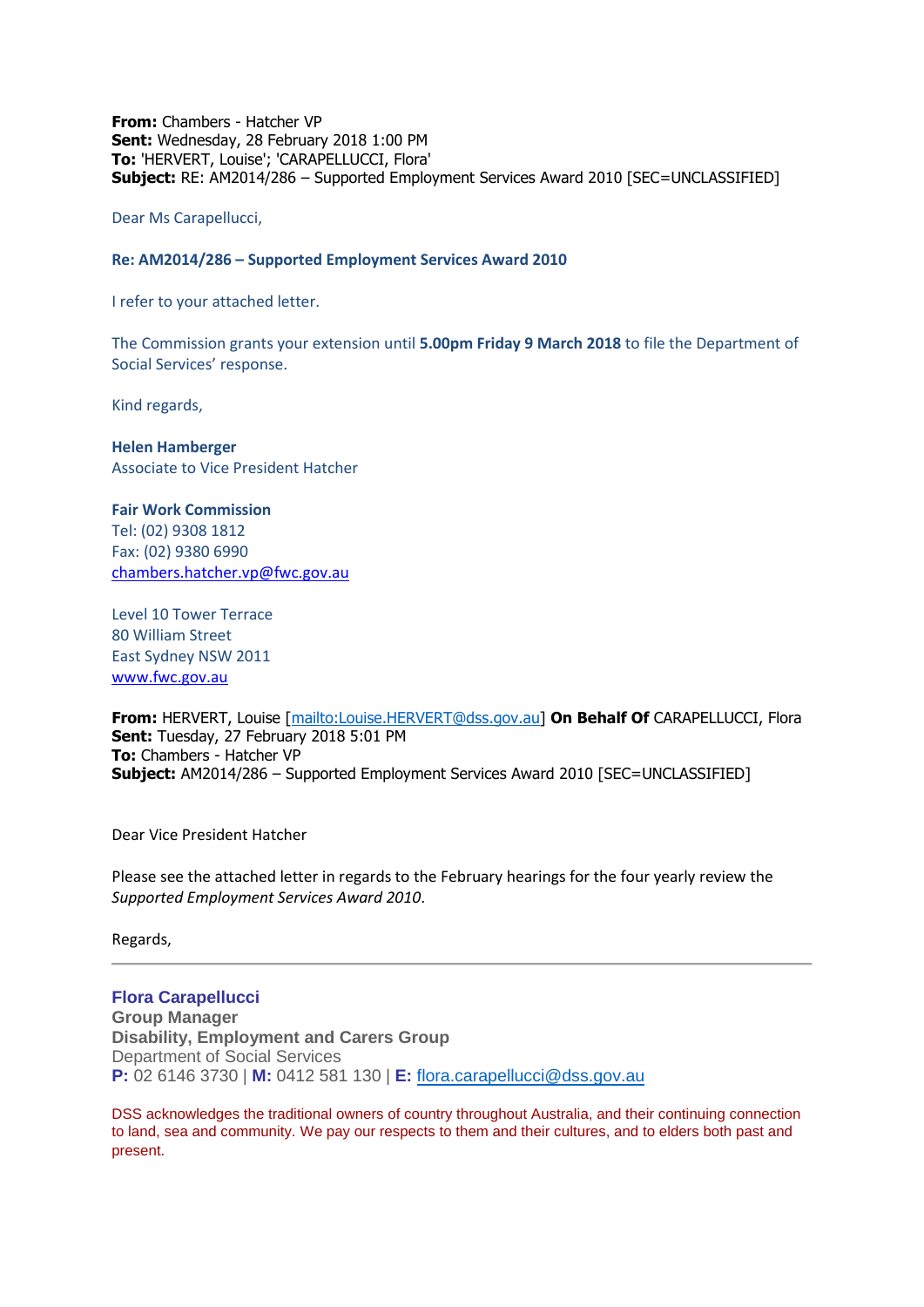**From:** Chambers - Hatcher VP **Sent:** Wednesday, 28 February 2018 1:00 PM **To:** 'HERVERT, Louise'; 'CARAPELLUCCI, Flora' **Subject:** RE: AM2014/286 – Supported Employment Services Award 2010 [SEC=UNCLASSIFIED]

Dear Ms Carapellucci,

### **Re: AM2014/286 – Supported Employment Services Award 2010**

I refer to your attached letter.

The Commission grants your extension until **5.00pm Friday 9 March 2018** to file the Department of Social Services' response.

Kind regards,

**Helen Hamberger** Associate to Vice President Hatcher

#### **Fair Work Commission**

Tel: (02) 9308 1812 Fax: (02) 9380 6990 [chambers.hatcher.vp@fwc.gov.au](mailto:chambers.hatcher.vp@fwc.gov.au) 

Level 10 Tower Terrace 80 William Street East Sydney NSW 2011 [www.fwc.gov.au](http://www.fwc.gov.au/)

**From:** HERVERT, Louise [\[mailto:Louise.HERVERT@dss.gov.au\]](mailto:Louise.HERVERT@dss.gov.au) **On Behalf Of** CARAPELLUCCI, Flora **Sent:** Tuesday, 27 February 2018 5:01 PM **To:** Chambers - Hatcher VP **Subject:** AM2014/286 – Supported Employment Services Award 2010 [SEC=UNCLASSIFIED]

Dear Vice President Hatcher

Please see the attached letter in regards to the February hearings for the four yearly review the *Supported Employment Services Award 2010*.

Regards,

## **Flora Carapellucci**

**Group Manager Disability, Employment and Carers Group** Department of Social Services **P:** 02 6146 3730 | **M:** 0412 581 130 | **E:** [flora.carapellucci@dss.gov.au](mailto:flora.carapellucci@dss.gov.au)

DSS acknowledges the traditional owners of country throughout Australia, and their continuing connection to land, sea and community. We pay our respects to them and their cultures, and to elders both past and present.